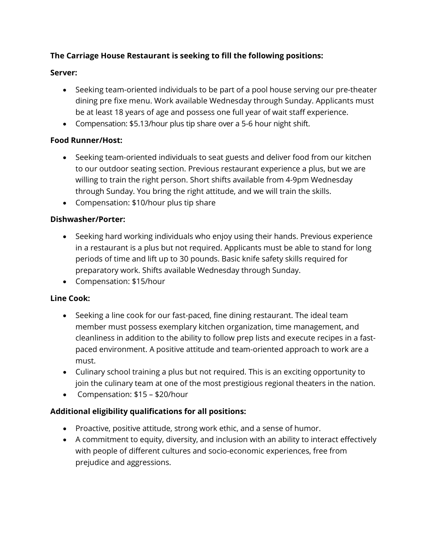## **The Carriage House Restaurant is seeking to fill the following positions:**

#### **Server:**

- Seeking team-oriented individuals to be part of a pool house serving our pre-theater dining pre fixe menu. Work available Wednesday through Sunday. Applicants must be at least 18 years of age and possess one full year of wait staff experience.
- Compensation: \$5.13/hour plus tip share over a 5-6 hour night shift.

### **Food Runner/Host:**

- Seeking team-oriented individuals to seat guests and deliver food from our kitchen to our outdoor seating section. Previous restaurant experience a plus, but we are willing to train the right person. Short shifts available from 4-9pm Wednesday through Sunday. You bring the right attitude, and we will train the skills.
- Compensation: \$10/hour plus tip share

### **Dishwasher/Porter:**

- Seeking hard working individuals who enjoy using their hands. Previous experience in a restaurant is a plus but not required. Applicants must be able to stand for long periods of time and lift up to 30 pounds. Basic knife safety skills required for preparatory work. Shifts available Wednesday through Sunday.
- Compensation: \$15/hour

### **Line Cook:**

- Seeking a line cook for our fast-paced, fine dining restaurant. The ideal team member must possess exemplary kitchen organization, time management, and cleanliness in addition to the ability to follow prep lists and execute recipes in a fastpaced environment. A positive attitude and team-oriented approach to work are a must.
- Culinary school training a plus but not required. This is an exciting opportunity to join the culinary team at one of the most prestigious regional theaters in the nation.
- Compensation: \$15 \$20/hour

### **Additional eligibility qualifications for all positions:**

- Proactive, positive attitude, strong work ethic, and a sense of humor.
- A commitment to equity, diversity, and inclusion with an ability to interact effectively with people of different cultures and socio-economic experiences, free from prejudice and aggressions.